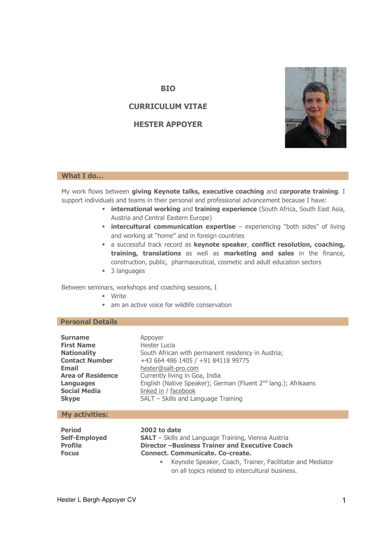### **What I do…**

My work flows between **giving Keynote talks, executive coaching** and **corporate training**. I support individuals and teams in their personal and professional advancement because I have:

- **international working** and **training experience** (South Africa, South East Asia, Austria and Central Eastern Europe)
- **intercultural communication expertise** experiencing "both sides" of living and working at "home" and in foreign countries
- a successful track record as **keynote speaker**, **conflict resolution, coaching, training, translations** as well as **marketing and sales** in the finance, construction, public, pharmaceutical, cosmetic and adult education sectors
- 3 languages

Between seminars, workshops and coaching sessions, I

- Write
- am an active voice for wildlife conservation

**BIO** 

**CURRICULUM VITAE** 

**HESTER APPOYER** 

# **Personal Details**

| <b>Surname</b><br><b>First Name</b><br><b>Nationality</b><br><b>Contact Number</b><br>Email<br><b>Area of Residence</b><br>Languages<br><b>Social Media</b><br><b>Skype</b> | Appoyer<br>Hester Lucia<br>South African with permanent residency in Austria;<br>+43 664 486 1405 / +91 84118 99775<br>hester@salt-pro.com<br>Currently living in Goa, India<br>English (Native Speaker); German (Fluent 2 <sup>nd</sup> lang.); Afrikaans<br>linked in / facebook<br>SALT - Skills and Language Training |
|-----------------------------------------------------------------------------------------------------------------------------------------------------------------------------|---------------------------------------------------------------------------------------------------------------------------------------------------------------------------------------------------------------------------------------------------------------------------------------------------------------------------|
| <b>My activities:</b>                                                                                                                                                       |                                                                                                                                                                                                                                                                                                                           |
| <b>Period</b><br><b>Self-Employed</b><br><b>Profile</b><br><b>Focus</b>                                                                                                     | 2002 to date<br><b>SALT</b> – Skills and Language Training, Vienna Austria<br>Director-Business Trainer and Executive Coach<br>Connect, Communicate, Co-create,<br>Keynote Speaker, Coach, Trainer, Facilitator and Mediator<br>٠<br>on all topics related to intercultural business.                                     |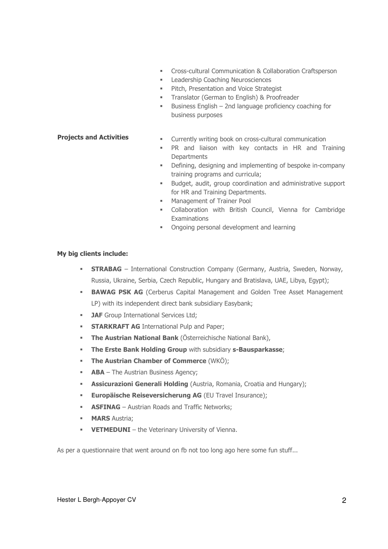- Cross-cultural Communication & Collaboration Craftsperson
- **Leadership Coaching Neurosciences**
- **Pitch, Presentation and Voice Strategist**
- **Translator (German to English) & Proofreader**
- Business English 2nd language proficiency coaching for business purposes

# **Projects and Activities**

- Currently writing book on cross-cultural communication
- PR and liaison with key contacts in HR and Training **Departments**
- Defining, designing and implementing of bespoke in-company training programs and curricula;
- Budget, audit, group coordination and administrative support for HR and Training Departments.
- **Management of Trainer Pool**
- Collaboration with British Council, Vienna for Cambridge **Examinations**
- **•** Ongoing personal development and learning

# **My big clients include:**

- **STRABAG** International Construction Company (Germany, Austria, Sweden, Norway, Russia, Ukraine, Serbia, Czech Republic, Hungary and Bratislava, UAE, Libya, Egypt);
- **BAWAG PSK AG** (Cerberus Capital Management and Golden Tree Asset Management LP) with its independent direct bank subsidiary Easybank;
- **JAF** Group International Services Ltd;
- **STARKRAFT AG** International Pulp and Paper;
- **The Austrian National Bank** (Österreichische National Bank),
- **The Erste Bank Holding Group** with subsidiary **s-Bausparkasse**;
- **The Austrian Chamber of Commerce** (WKÖ);
- **ABA** The Austrian Business Agency;
- **Assicurazioni Generali Holding** (Austria, Romania, Croatia and Hungary);
- **Europäische Reiseversicherung AG** (EU Travel Insurance);
- **ASFINAG** Austrian Roads and Traffic Networks:
- **MARS** Austria:
- **VETMEDUNI** the Veterinary University of Vienna.

As per a questionnaire that went around on fb not too long ago here some fun stuff...